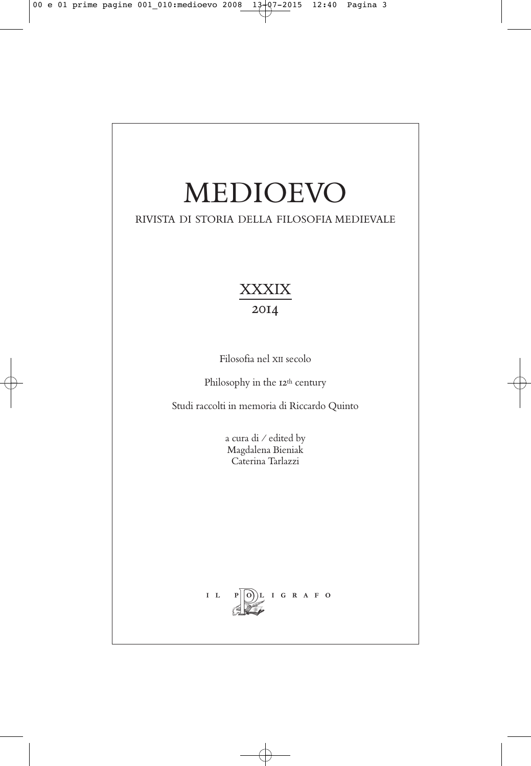# MEDIOEVO

#### RIVISTA DI STORIA DELLA FILOSOFIA MEDIEVALE

## XXXIX

### 2014

Filosofia nel XII secolo

Philosophy in the 12<sup>th</sup> century

Studi raccolti in memoria di Riccardo Quinto

a cura di / edited by Magdalena Bieniak Caterina Tarlazzi